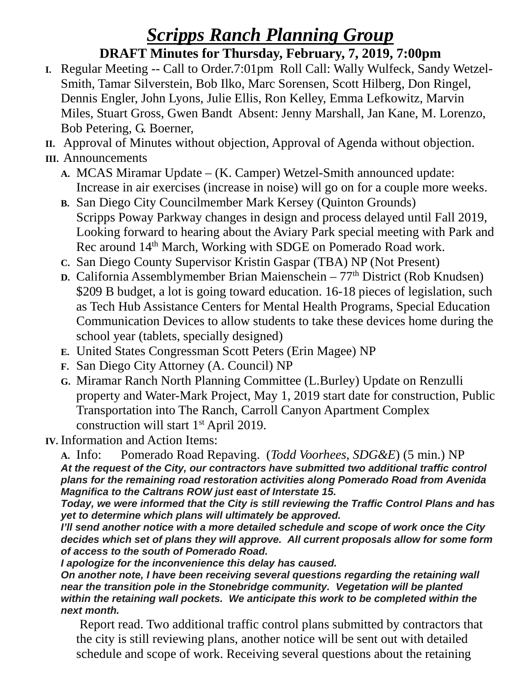## *Scripps Ranch Planning Group*

## **DRAFT Minutes for Thursday, February, 7, 2019, 7:00pm**

- **I.** Regular Meeting -- Call to Order.7:01pm Roll Call: Wally Wulfeck, Sandy Wetzel-Smith, Tamar Silverstein, Bob Ilko, Marc Sorensen, Scott Hilberg, Don Ringel, Dennis Engler, John Lyons, Julie Ellis, Ron Kelley, Emma Lefkowitz, Marvin Miles, Stuart Gross, Gwen Bandt Absent: Jenny Marshall, Jan Kane, M. Lorenzo, Bob Petering, G. Boerner,
- **II.** Approval of Minutes without objection, Approval of Agenda without objection.
- **III.** Announcements
	- **A.** MCAS Miramar Update (K. Camper) Wetzel-Smith announced update: Increase in air exercises (increase in noise) will go on for a couple more weeks.
	- **B.** San Diego City Councilmember Mark Kersey (Quinton Grounds) Scripps Poway Parkway changes in design and process delayed until Fall 2019, Looking forward to hearing about the Aviary Park special meeting with Park and Rec around 14<sup>th</sup> March, Working with SDGE on Pomerado Road work.
	- **C.** San Diego County Supervisor Kristin Gaspar (TBA) NP (Not Present)
	- **D.** California Assemblymember Brian Maienschein 77<sup>th</sup> District (Rob Knudsen) \$209 B budget, a lot is going toward education. 16-18 pieces of legislation, such as Tech Hub Assistance Centers for Mental Health Programs, Special Education Communication Devices to allow students to take these devices home during the school year (tablets, specially designed)
	- **E.** United States Congressman Scott Peters (Erin Magee) NP
	- **F.** San Diego City Attorney (A. Council) NP
	- **G.** Miramar Ranch North Planning Committee (L.Burley) Update on Renzulli property and Water-Mark Project, May 1, 2019 start date for construction, Public Transportation into The Ranch, Carroll Canyon Apartment Complex construction will start 1<sup>st</sup> April 2019.
- **IV.** Information and Action Items:

**A.** Info: Pomerado Road Repaving. (*Todd Voorhees, SDG&E*) (5 min.) NP *At the request of the City, our contractors have submitted two additional traffic control plans for the remaining road restoration activities along Pomerado Road from Avenida Magnifica to the Caltrans ROW just east of Interstate 15.*

*Today, we were informed that the City is still reviewing the Traffic Control Plans and has yet to determine which plans will ultimately be approved.*

*I'll send another notice with a more detailed schedule and scope of work once the City decides which set of plans they will approve. All current proposals allow for some form of access to the south of Pomerado Road.*

*I apologize for the inconvenience this delay has caused.*

*On another note, I have been receiving several questions regarding the retaining wall near the transition pole in the Stonebridge community. Vegetation will be planted within the retaining wall pockets. We anticipate this work to be completed within the next month.*

Report read. Two additional traffic control plans submitted by contractors that the city is still reviewing plans, another notice will be sent out with detailed schedule and scope of work. Receiving several questions about the retaining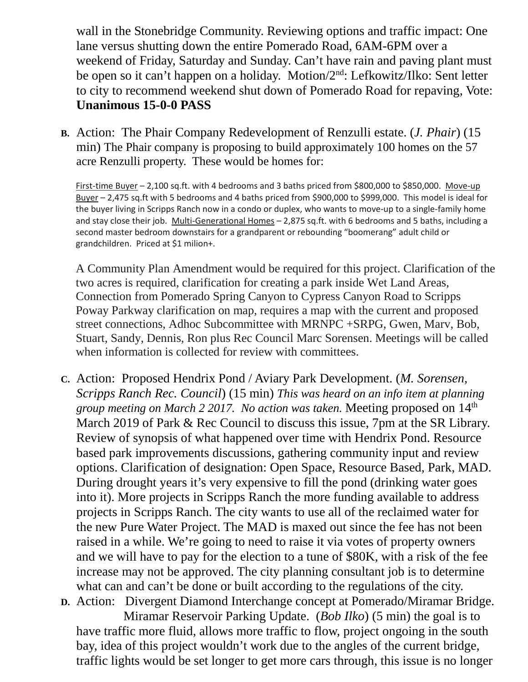wall in the Stonebridge Community. Reviewing options and traffic impact: One lane versus shutting down the entire Pomerado Road, 6AM-6PM over a weekend of Friday, Saturday and Sunday. Can't have rain and paving plant must be open so it can't happen on a holiday. Motion/2nd: Lefkowitz/Ilko: Sent letter to city to recommend weekend shut down of Pomerado Road for repaving, Vote: **Unanimous 15-0-0 PASS**

**B.** Action: The Phair Company Redevelopment of Renzulli estate. (*J. Phair*) (15 min) The Phair company is proposing to build approximately 100 homes on the 57 acre Renzulli property. These would be homes for:

First-time Buyer – 2,100 sq.ft. with 4 bedrooms and 3 baths priced from \$800,000 to \$850,000. Move-up Buyer – 2,475 sq.ft with 5 bedrooms and 4 baths priced from \$900,000 to \$999,000. This model is ideal for the buyer living in Scripps Ranch now in a condo or duplex, who wants to move-up to a single-family home and stay close their job. Multi-Generational Homes – 2,875 sq.ft. with 6 bedrooms and 5 baths, including a second master bedroom downstairs for a grandparent or rebounding "boomerang" adult child or grandchildren. Priced at \$1 milion+.

A Community Plan Amendment would be required for this project. Clarification of the two acres is required, clarification for creating a park inside Wet Land Areas, Connection from Pomerado Spring Canyon to Cypress Canyon Road to Scripps Poway Parkway clarification on map, requires a map with the current and proposed street connections, Adhoc Subcommittee with MRNPC +SRPG, Gwen, Marv, Bob, Stuart, Sandy, Dennis, Ron plus Rec Council Marc Sorensen. Meetings will be called when information is collected for review with committees.

- **C.** Action: Proposed Hendrix Pond / Aviary Park Development. (*M. Sorensen, Scripps Ranch Rec. Council*) (15 min) *This was heard on an info item at planning group meeting on March 2 2017. No action was taken.* Meeting proposed on 14th March 2019 of Park & Rec Council to discuss this issue, 7pm at the SR Library. Review of synopsis of what happened over time with Hendrix Pond. Resource based park improvements discussions, gathering community input and review options. Clarification of designation: Open Space, Resource Based, Park, MAD. During drought years it's very expensive to fill the pond (drinking water goes into it). More projects in Scripps Ranch the more funding available to address projects in Scripps Ranch. The city wants to use all of the reclaimed water for the new Pure Water Project. The MAD is maxed out since the fee has not been raised in a while. We're going to need to raise it via votes of property owners and we will have to pay for the election to a tune of \$80K, with a risk of the fee increase may not be approved. The city planning consultant job is to determine what can and can't be done or built according to the regulations of the city.
- **D.** Action: Divergent Diamond Interchange concept at Pomerado/Miramar Bridge. Miramar Reservoir Parking Update. (*Bob Ilko*) (5 min) the goal is to have traffic more fluid, allows more traffic to flow, project ongoing in the south bay, idea of this project wouldn't work due to the angles of the current bridge, traffic lights would be set longer to get more cars through, this issue is no longer